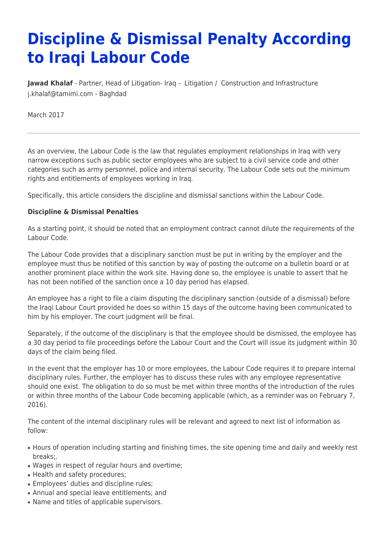## **Discipline & Dismissal Penalty According to Iraqi Labour Code**

[Jawad Khalaf](https://www.tamimi.com/find-a-lawyer/jawad-khalaf/) - Partner, Head of [Litigation](https://www.tamimi.com/client-services/practices/litigation/)- Iraq - Litigation / [Construction and Infrastructure](https://www.tamimi.com/client-services/practices/construction-infrastructure/) [j.khalaf@tamimi.com](mailto:j.khalaf@tamimi.com) - [Baghdad](https://www.tamimi.com/locations/iraq/)

March 2017

As an overview, the Labour Code is the law that regulates employment relationships in Iraq with very narrow exceptions such as public sector employees who are subject to a civil service code and other categories such as army personnel, police and internal security. The Labour Code sets out the minimum rights and entitlements of employees working in Iraq.

Specifically, this article considers the discipline and dismissal sanctions within the Labour Code.

## **Discipline & Dismissal Penalties**

As a starting point, it should be noted that an employment contract cannot dilute the requirements of the Labour Code.

The Labour Code provides that a disciplinary sanction must be put in writing by the employer and the employee must thus be notified of this sanction by way of posting the outcome on a bulletin board or at another prominent place within the work site. Having done so, the employee is unable to assert that he has not been notified of the sanction once a 10 day period has elapsed.

An employee has a right to file a claim disputing the disciplinary sanction (outside of a dismissal) before the Iraqi Labour Court provided he does so within 15 days of the outcome having been communicated to him by his employer. The court judgment will be final.

Separately, if the outcome of the disciplinary is that the employee should be dismissed, the employee has a 30 day period to file proceedings before the Labour Court and the Court will issue its judgment within 30 days of the claim being filed.

In the event that the employer has 10 or more employees, the Labour Code requires it to prepare internal disciplinary rules. Further, the employer has to discuss these rules with any employee representative should one exist. The obligation to do so must be met within three months of the introduction of the rules or within three months of the Labour Code becoming applicable (which, as a reminder was on February 7, 2016).

The content of the internal disciplinary rules will be relevant and agreed to next list of information as follow:

- Hours of operation including starting and finishing times, the site opening time and daily and weekly rest breaks;.
- Wages in respect of regular hours and overtime;
- Health and safety procedures:
- Employees' duties and discipline rules;
- Annual and special leave entitlements; and
- Name and titles of applicable supervisors.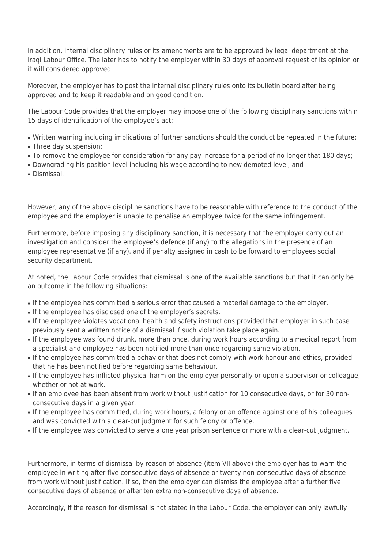In addition, internal disciplinary rules or its amendments are to be approved by legal department at the Iraqi Labour Office. The later has to notify the employer within 30 days of approval request of its opinion or it will considered approved.

Moreover, the employer has to post the internal disciplinary rules onto its bulletin board after being approved and to keep it readable and on good condition.

The Labour Code provides that the employer may impose one of the following disciplinary sanctions within 15 days of identification of the employee's act:

• Written warning including implications of further sanctions should the conduct be repeated in the future;

- Three day suspension;
- To remove the employee for consideration for any pay increase for a period of no longer that 180 days;
- Downgrading his position level including his wage according to new demoted level; and
- Dismissal.

However, any of the above discipline sanctions have to be reasonable with reference to the conduct of the employee and the employer is unable to penalise an employee twice for the same infringement.

Furthermore, before imposing any disciplinary sanction, it is necessary that the employer carry out an investigation and consider the employee's defence (if any) to the allegations in the presence of an employee representative (if any). and if penalty assigned in cash to be forward to employees social security department.

At noted, the Labour Code provides that dismissal is one of the available sanctions but that it can only be an outcome in the following situations:

- If the employee has committed a serious error that caused a material damage to the employer.
- If the employee has disclosed one of the employer's secrets.
- If the employee violates vocational health and safety instructions provided that employer in such case previously sent a written notice of a dismissal if such violation take place again.
- If the employee was found drunk, more than once, during work hours according to a medical report from a specialist and employee has been notified more than once regarding same violation.
- If the employee has committed a behavior that does not comply with work honour and ethics, provided that he has been notified before regarding same behaviour.
- If the employee has inflicted physical harm on the employer personally or upon a supervisor or colleague, whether or not at work.
- If an employee has been absent from work without justification for 10 consecutive days, or for 30 nonconsecutive days in a given year.
- If the employee has committed, during work hours, a felony or an offence against one of his colleagues and was convicted with a clear-cut judgment for such felony or offence.
- If the employee was convicted to serve a one year prison sentence or more with a clear-cut judgment.

Furthermore, in terms of dismissal by reason of absence (item VII above) the employer has to warn the employee in writing after five consecutive days of absence or twenty non-consecutive days of absence from work without justification. If so, then the employer can dismiss the employee after a further five consecutive days of absence or after ten extra non-consecutive days of absence.

Accordingly, if the reason for dismissal is not stated in the Labour Code, the employer can only lawfully